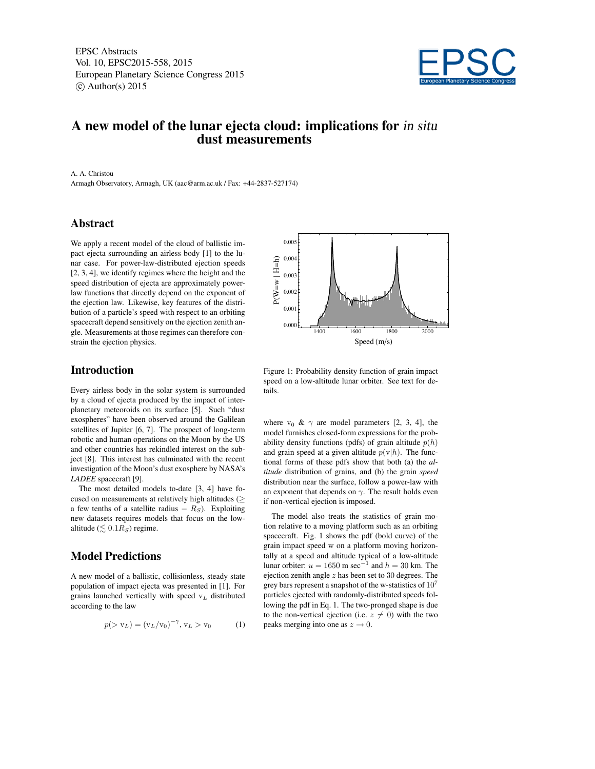EPSC Abstracts Vol. 10, EPSC2015-558, 2015 European Planetary Science Congress 2015  $\circ$  Author(s) 2015



## A new model of the lunar ejecta cloud: implications for in situ dust measurements

0.004 0.005

 $P(W = w | H = h)$ 

 $P(W = w | H = h)$ 

A. A. Christou

Armagh Observatory, Armagh, UK (aac@arm.ac.uk / Fax: +44-2837-527174)

### Abstract

We apply a recent model of the cloud of ballistic impact ejecta surrounding an airless body [1] to the lunar case. For power-law-distributed ejection speeds [2, 3, 4], we identify regimes where the height and the speed distribution of ejecta are approximately powerlaw functions that directly depend on the exponent of the ejection law. Likewise, key features of the distribution of a particle's speed with respect to an orbiting spacecraft depend sensitively on the ejection zenith angle. Measurements at those regimes can therefore constrain the ejection physics.

# 1400 1600 1800 2000 0.00 0.001 0.002 0.003 Speed (m/s)

#### Introduction

Every airless body in the solar system is surrounded by a cloud of ejecta produced by the impact of interplanetary meteoroids on its surface [5]. Such "dust exospheres" have been observed around the Galilean satellites of Jupiter [6, 7]. The prospect of long-term robotic and human operations on the Moon by the US and other countries has rekindled interest on the subject [8]. This interest has culminated with the recent investigation of the Moon's dust exosphere by NASA's *LADEE* spacecraft [9].

The most detailed models to-date [3, 4] have focused on measurements at relatively high altitudes ( $\geq$ a few tenths of a satellite radius  $- R_S$ ). Exploiting new datasets requires models that focus on the lowaltitude ( $\leq 0.1R_S$ ) regime.

#### Model Predictions

A new model of a ballistic, collisionless, steady state population of impact ejecta was presented in [1]. For grains launched vertically with speed  $v<sub>L</sub>$  distributed according to the law

$$
p(> v_L) = (v_L/v_0)^{-\gamma}, v_L > v_0 \tag{1}
$$



where  $v_0 \& \gamma$  are model parameters [2, 3, 4], the model furnishes closed-form expressions for the probability density functions (pdfs) of grain altitude  $p(h)$ and grain speed at a given altitude  $p(v|h)$ . The functional forms of these pdfs show that both (a) the *altitude* distribution of grains, and (b) the grain *speed* distribution near the surface, follow a power-law with an exponent that depends on  $\gamma$ . The result holds even if non-vertical ejection is imposed.

The model also treats the statistics of grain motion relative to a moving platform such as an orbiting spacecraft. Fig. 1 shows the pdf (bold curve) of the grain impact speed w on a platform moving horizontally at a speed and altitude typical of a low-altitude lunar orbiter:  $u = 1650$  m sec<sup>-1</sup> and  $h = 30$  km. The ejection zenith angle  $z$  has been set to 30 degrees. The grey bars represent a snapshot of the w-statistics of  $10^7$ particles ejected with randomly-distributed speeds following the pdf in Eq. 1. The two-pronged shape is due to the non-vertical ejection (i.e.  $z \neq 0$ ) with the two peaks merging into one as  $z \to 0$ .